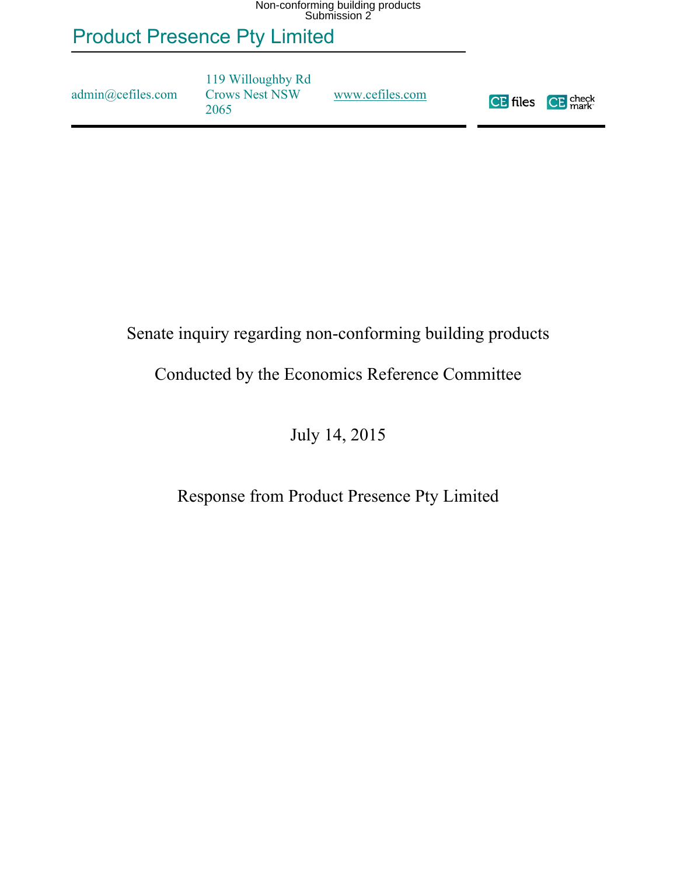# Product Presence Pty Limited

admin@cefiles.com

119 Willoughby Rd Crows Nest NSW 2065

[www.cefiles.com](http://www.cefiles.com/)



#### Senate inquiry regarding non-conforming building products

#### Conducted by the Economics Reference Committee

July 14, 2015

#### Response from Product Presence Pty Limited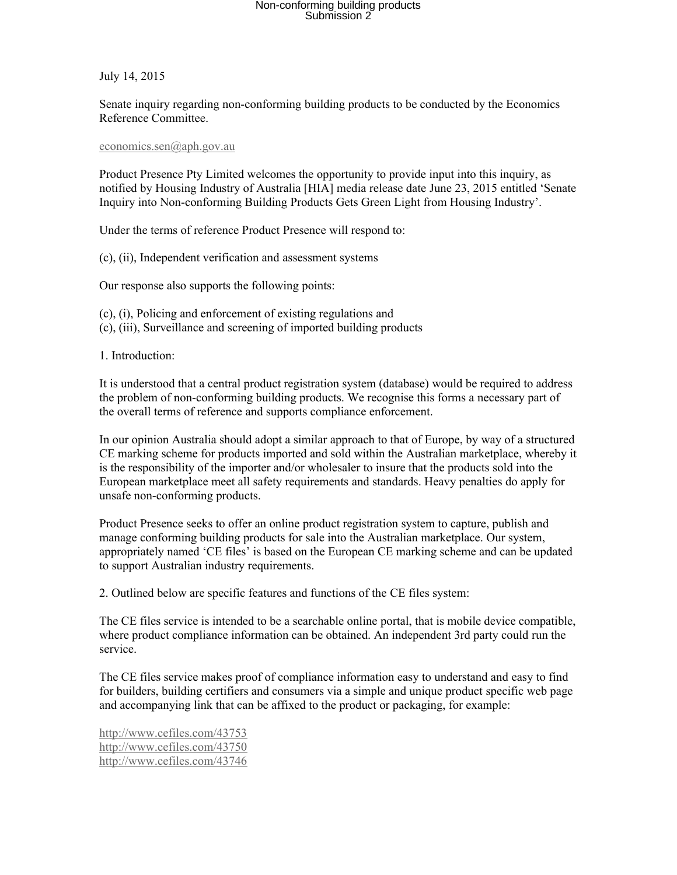July 14, 2015

Senate inquiry regarding non-conforming building products to be conducted by the Economics Reference Committee.

#### [economics.sen@aph.gov.au](mailto:economics.sen@aph.gov.au)

Product Presence Pty Limited welcomes the opportunity to provide input into this inquiry, as notified by Housing Industry of Australia [HIA] media release date June 23, 2015 entitled 'Senate Inquiry into Non-conforming Building Products Gets Green Light from Housing Industry'.

Under the terms of reference Product Presence will respond to:

(c), (ii), Independent verification and assessment systems

Our response also supports the following points:

(c), (i), Policing and enforcement of existing regulations and (c), (iii), Surveillance and screening of imported building products

1. Introduction:

It is understood that a central product registration system (database) would be required to address the problem of non-conforming building products. We recognise this forms a necessary part of the overall terms of reference and supports compliance enforcement.

In our opinion Australia should adopt a similar approach to that of Europe, by way of a structured CE marking scheme for products imported and sold within the Australian marketplace, whereby it is the responsibility of the importer and/or wholesaler to insure that the products sold into the European marketplace meet all safety requirements and standards. Heavy penalties do apply for unsafe non-conforming products.

Product Presence seeks to offer an online product registration system to capture, publish and manage conforming building products for sale into the Australian marketplace. Our system, appropriately named 'CE files' is based on the European CE marking scheme and can be updated to support Australian industry requirements.

2. Outlined below are specific features and functions of the CE files system:

The CE files service is intended to be a searchable online portal, that is mobile device compatible, where product compliance information can be obtained. An independent 3rd party could run the service.

The CE files service makes proof of compliance information easy to understand and easy to find for builders, building certifiers and consumers via a simple and unique product specific web page and accompanying link that can be affixed to the product or packaging, for example:

<http://www.cefiles.com/43753> <http://www.cefiles.com/43750> <http://www.cefiles.com/43746>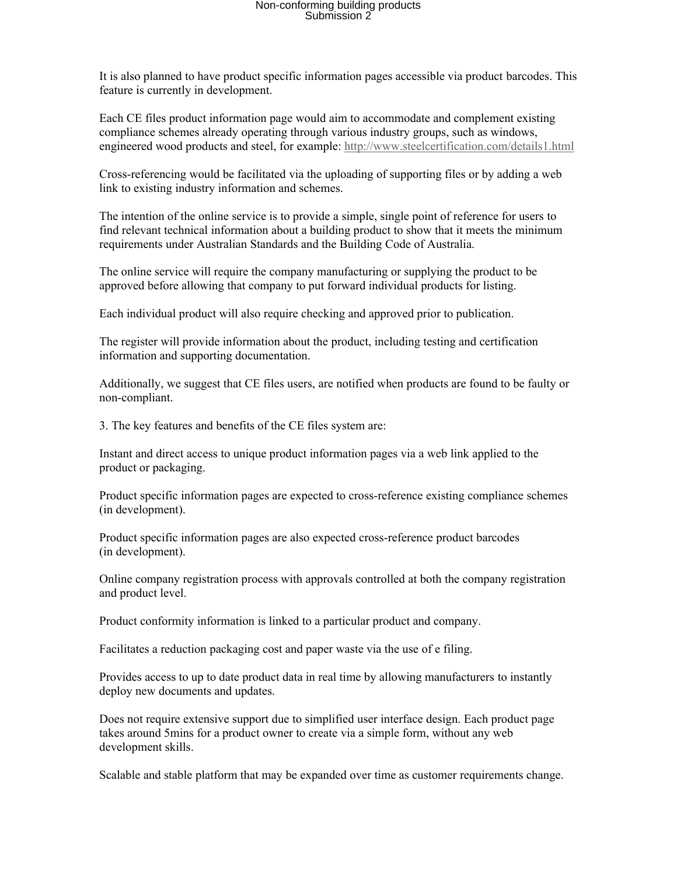It is also planned to have product specific information pages accessible via product barcodes. This feature is currently in development.

Each CE files product information page would aim to accommodate and complement existing compliance schemes already operating through various industry groups, such as windows, engineered wood products and steel, for example: <http://www.steelcertification.com/details1.html>

Cross-referencing would be facilitated via the uploading of supporting files or by adding a web link to existing industry information and schemes.

The intention of the online service is to provide a simple, single point of reference for users to find relevant technical information about a building product to show that it meets the minimum requirements under Australian Standards and the Building Code of Australia.

The online service will require the company manufacturing or supplying the product to be approved before allowing that company to put forward individual products for listing.

Each individual product will also require checking and approved prior to publication.

The register will provide information about the product, including testing and certification information and supporting documentation.

Additionally, we suggest that CE files users, are notified when products are found to be faulty or non-compliant.

3. The key features and benefits of the CE files system are:

Instant and direct access to unique product information pages via a web link applied to the product or packaging.

Product specific information pages are expected to cross-reference existing compliance schemes (in development).

Product specific information pages are also expected cross-reference product barcodes (in development).

Online company registration process with approvals controlled at both the company registration and product level.

Product conformity information is linked to a particular product and company.

Facilitates a reduction packaging cost and paper waste via the use of e filing.

Provides access to up to date product data in real time by allowing manufacturers to instantly deploy new documents and updates.

Does not require extensive support due to simplified user interface design. Each product page takes around 5mins for a product owner to create via a simple form, without any web development skills.

Scalable and stable platform that may be expanded over time as customer requirements change.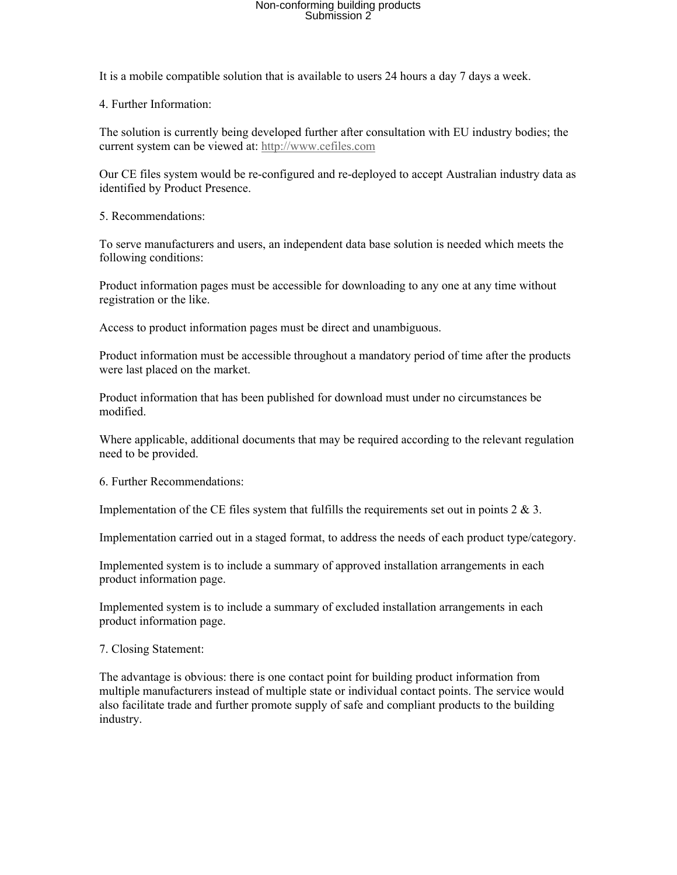It is a mobile compatible solution that is available to users 24 hours a day 7 days a week.

4. Further Information:

The solution is currently being developed further after consultation with EU industry bodies; the current system can be viewed at: [http://www.cefiles.com](http://www.cefiles.com/)

Our CE files system would be re-configured and re-deployed to accept Australian industry data as identified by Product Presence.

5. Recommendations:

To serve manufacturers and users, an independent data base solution is needed which meets the following conditions:

Product information pages must be accessible for downloading to any one at any time without registration or the like.

Access to product information pages must be direct and unambiguous.

Product information must be accessible throughout a mandatory period of time after the products were last placed on the market.

Product information that has been published for download must under no circumstances be modified.

Where applicable, additional documents that may be required according to the relevant regulation need to be provided.

6. Further Recommendations:

Implementation of the CE files system that fulfills the requirements set out in points  $2 \& 3$ .

Implementation carried out in a staged format, to address the needs of each product type/category.

Implemented system is to include a summary of approved installation arrangements in each product information page.

Implemented system is to include a summary of excluded installation arrangements in each product information page.

7. Closing Statement:

The advantage is obvious: there is one contact point for building product information from multiple manufacturers instead of multiple state or individual contact points. The service would also facilitate trade and further promote supply of safe and compliant products to the building industry.